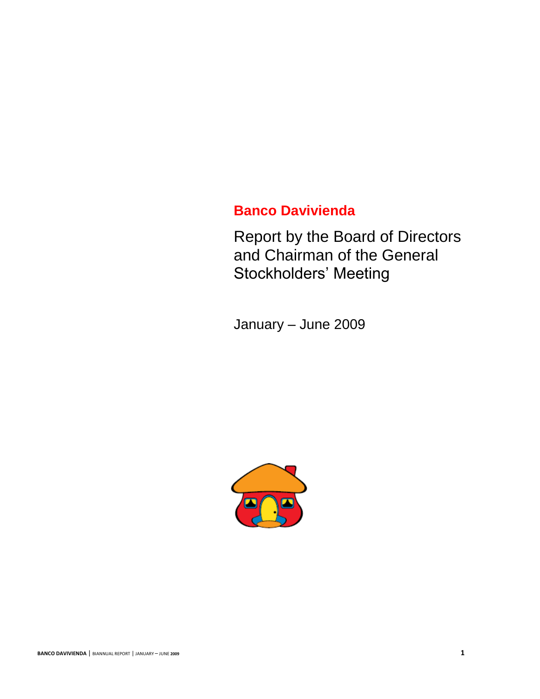# **Banco Davivienda**

Report by the Board of Directors and Chairman of the General Stockholders' Meeting

January – June 2009

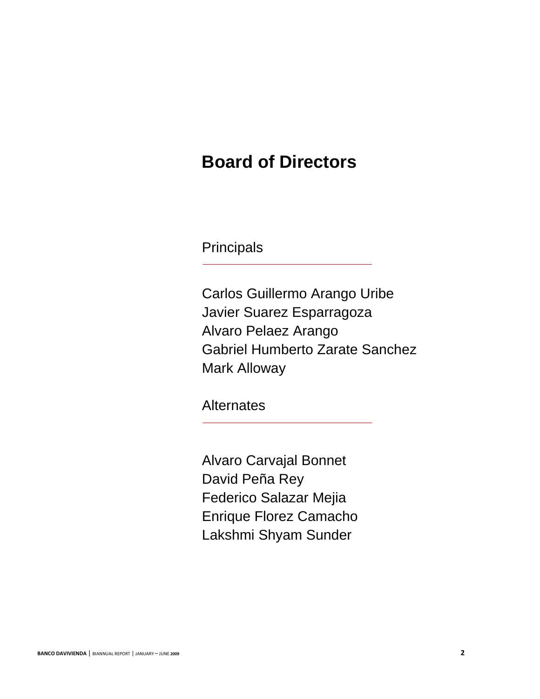# **Board of Directors**

Principals

Carlos Guillermo Arango Uribe Javier Suarez Esparragoza Alvaro Pelaez Arango Gabriel Humberto Zarate Sanchez Mark Alloway

**Alternates** 

Alvaro Carvajal Bonnet David Peña Rey Federico Salazar Mejia Enrique Florez Camacho Lakshmi Shyam Sunder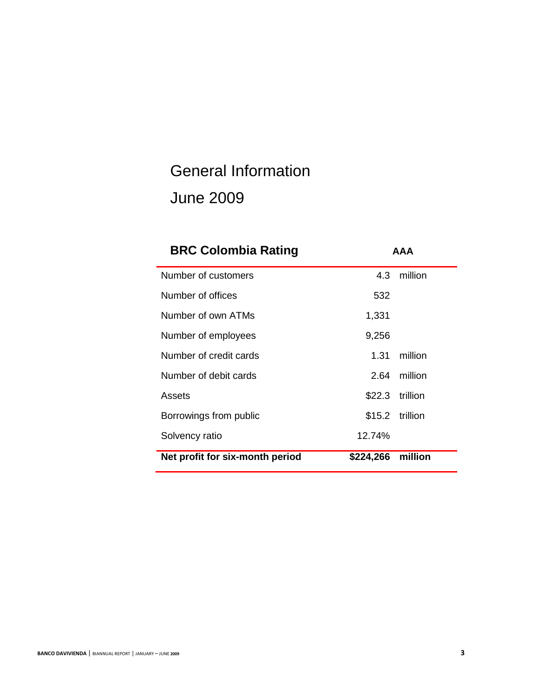# General Information June 2009

| <b>BRC Colombia Rating</b>      |           | AAA             |
|---------------------------------|-----------|-----------------|
| Number of customers             | 4.3       | million         |
| Number of offices               | 532       |                 |
| Number of own ATMs              | 1,331     |                 |
| Number of employees             | 9,256     |                 |
| Number of credit cards          | 1.31      | million         |
| Number of debit cards           | 2.64      | million         |
| Assets                          | \$22.3    | trillion        |
| Borrowings from public          |           | \$15.2 trillion |
| Solvency ratio                  | 12.74%    |                 |
| Net profit for six-month period | \$224,266 | million         |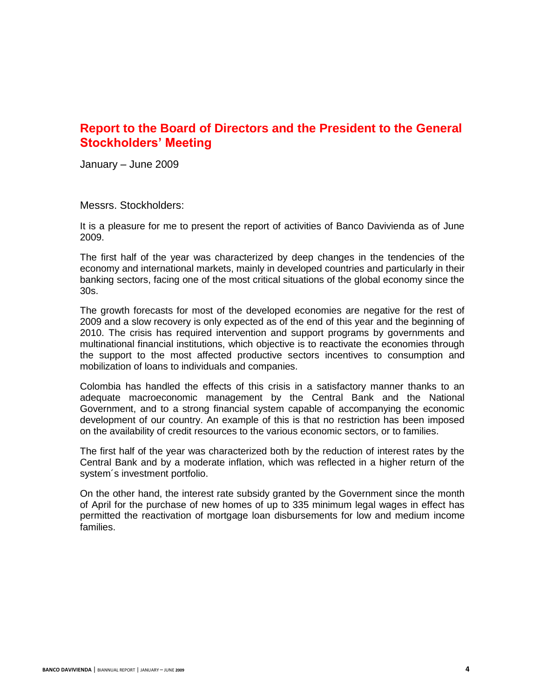# **Report to the Board of Directors and the President to the General Stockholders' Meeting**

January – June 2009

Messrs. Stockholders:

It is a pleasure for me to present the report of activities of Banco Davivienda as of June 2009.

The first half of the year was characterized by deep changes in the tendencies of the economy and international markets, mainly in developed countries and particularly in their banking sectors, facing one of the most critical situations of the global economy since the 30s.

The growth forecasts for most of the developed economies are negative for the rest of 2009 and a slow recovery is only expected as of the end of this year and the beginning of 2010. The crisis has required intervention and support programs by governments and multinational financial institutions, which objective is to reactivate the economies through the support to the most affected productive sectors incentives to consumption and mobilization of loans to individuals and companies.

Colombia has handled the effects of this crisis in a satisfactory manner thanks to an adequate macroeconomic management by the Central Bank and the National Government, and to a strong financial system capable of accompanying the economic development of our country. An example of this is that no restriction has been imposed on the availability of credit resources to the various economic sectors, or to families.

The first half of the year was characterized both by the reduction of interest rates by the Central Bank and by a moderate inflation, which was reflected in a higher return of the system´s investment portfolio.

On the other hand, the interest rate subsidy granted by the Government since the month of April for the purchase of new homes of up to 335 minimum legal wages in effect has permitted the reactivation of mortgage loan disbursements for low and medium income families.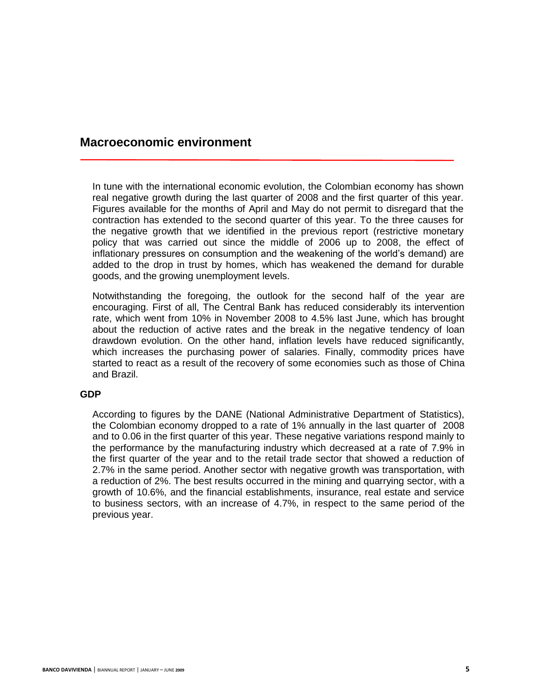# **Macroeconomic environment**

In tune with the international economic evolution, the Colombian economy has shown real negative growth during the last quarter of 2008 and the first quarter of this year. Figures available for the months of April and May do not permit to disregard that the contraction has extended to the second quarter of this year. To the three causes for the negative growth that we identified in the previous report (restrictive monetary policy that was carried out since the middle of 2006 up to 2008, the effect of inflationary pressures on consumption and the weakening of the world's demand) are added to the drop in trust by homes, which has weakened the demand for durable goods, and the growing unemployment levels.

Notwithstanding the foregoing, the outlook for the second half of the year are encouraging. First of all, The Central Bank has reduced considerably its intervention rate, which went from 10% in November 2008 to 4.5% last June, which has brought about the reduction of active rates and the break in the negative tendency of loan drawdown evolution. On the other hand, inflation levels have reduced significantly, which increases the purchasing power of salaries. Finally, commodity prices have started to react as a result of the recovery of some economies such as those of China and Brazil.

# **GDP**

According to figures by the DANE (National Administrative Department of Statistics), the Colombian economy dropped to a rate of 1% annually in the last quarter of 2008 and to 0.06 in the first quarter of this year. These negative variations respond mainly to the performance by the manufacturing industry which decreased at a rate of 7.9% in the first quarter of the year and to the retail trade sector that showed a reduction of 2.7% in the same period. Another sector with negative growth was transportation, with a reduction of 2%. The best results occurred in the mining and quarrying sector, with a growth of 10.6%, and the financial establishments, insurance, real estate and service to business sectors, with an increase of 4.7%, in respect to the same period of the previous year.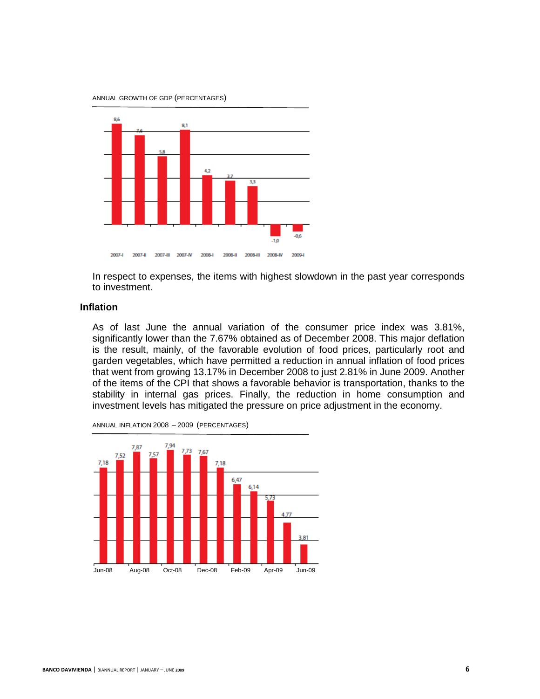



In respect to expenses, the items with highest slowdown in the past year corresponds to investment.

# **Inflation**

As of last June the annual variation of the consumer price index was 3.81%, significantly lower than the 7.67% obtained as of December 2008. This major deflation is the result, mainly, of the favorable evolution of food prices, particularly root and garden vegetables, which have permitted a reduction in annual inflation of food prices that went from growing 13.17% in December 2008 to just 2.81% in June 2009. Another of the items of the CPI that shows a favorable behavior is transportation, thanks to the stability in internal gas prices. Finally, the reduction in home consumption and investment levels has mitigated the pressure on price adjustment in the economy.



ANNUAL INFLATION 2008 – 2009 (PERCENTAGES)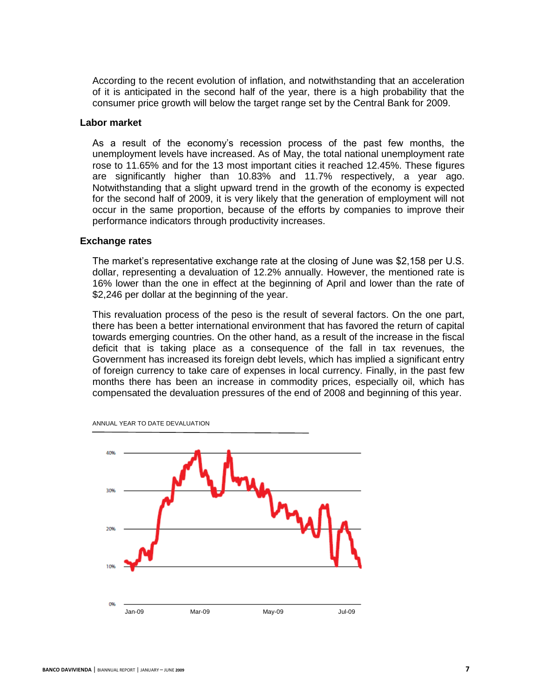According to the recent evolution of inflation, and notwithstanding that an acceleration of it is anticipated in the second half of the year, there is a high probability that the consumer price growth will below the target range set by the Central Bank for 2009.

#### **Labor market**

As a result of the economy's recession process of the past few months, the unemployment levels have increased. As of May, the total national unemployment rate rose to 11.65% and for the 13 most important cities it reached 12.45%. These figures are significantly higher than 10.83% and 11.7% respectively, a year ago. Notwithstanding that a slight upward trend in the growth of the economy is expected for the second half of 2009, it is very likely that the generation of employment will not occur in the same proportion, because of the efforts by companies to improve their performance indicators through productivity increases.

#### **Exchange rates**

The market's representative exchange rate at the closing of June was \$2,158 per U.S. dollar, representing a devaluation of 12.2% annually. However, the mentioned rate is 16% lower than the one in effect at the beginning of April and lower than the rate of \$2,246 per dollar at the beginning of the year.

This revaluation process of the peso is the result of several factors. On the one part, there has been a better international environment that has favored the return of capital towards emerging countries. On the other hand, as a result of the increase in the fiscal deficit that is taking place as a consequence of the fall in tax revenues, the Government has increased its foreign debt levels, which has implied a significant entry of foreign currency to take care of expenses in local currency. Finally, in the past few months there has been an increase in commodity prices, especially oil, which has compensated the devaluation pressures of the end of 2008 and beginning of this year.



ANNUAL YEAR TO DATE DEVALUATION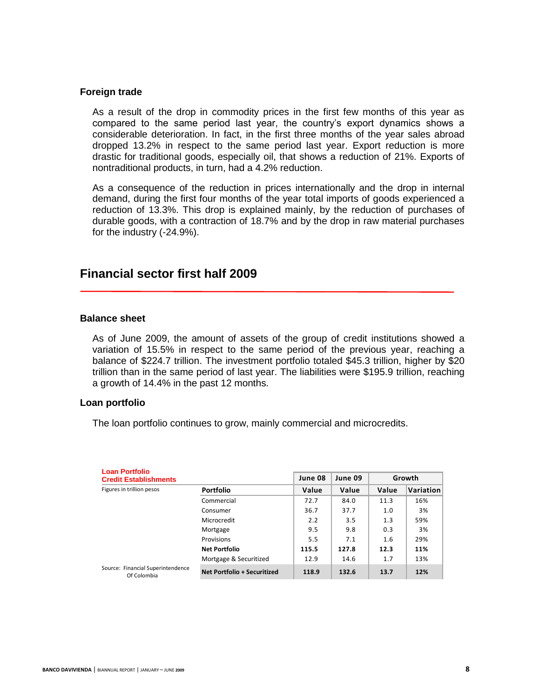#### **Foreign trade**

As a result of the drop in commodity prices in the first few months of this year as compared to the same period last year, the country's export dynamics shows a considerable deterioration. In fact, in the first three months of the year sales abroad dropped 13.2% in respect to the same period last year. Export reduction is more drastic for traditional goods, especially oil, that shows a reduction of 21%. Exports of nontraditional products, in turn, had a 4.2% reduction.

As a consequence of the reduction in prices internationally and the drop in internal demand, during the first four months of the year total imports of goods experienced a reduction of 13.3%. This drop is explained mainly, by the reduction of purchases of durable goods, with a contraction of 18.7% and by the drop in raw material purchases for the industry (-24.9%).

# **Financial sector first half 2009**

#### **Balance sheet**

As of June 2009, the amount of assets of the group of credit institutions showed a variation of 15.5% in respect to the same period of the previous year, reaching a balance of \$224.7 trillion. The investment portfolio totaled \$45.3 trillion, higher by \$20 trillion than in the same period of last year. The liabilities were \$195.9 trillion, reaching a growth of 14.4% in the past 12 months.

#### **Loan portfolio**

The loan portfolio continues to grow, mainly commercial and microcredits.

| <b>Loan Portfolio</b>                            |                             |         |         |       |           |
|--------------------------------------------------|-----------------------------|---------|---------|-------|-----------|
| <b>Credit Establishments</b>                     |                             | June 08 | June 09 |       | Growth    |
| Figures in trillion pesos                        | <b>Portfolio</b>            | Value   | Value   | Value | Variation |
|                                                  | Commercial                  | 72.7    | 84.0    | 11.3  | 16%       |
|                                                  | Consumer                    | 36.7    | 37.7    | 1.0   | 3%        |
|                                                  | Microcredit                 | 2.2     | 3.5     | 1.3   | 59%       |
|                                                  | Mortgage                    | 9.5     | 9.8     | 0.3   | 3%        |
|                                                  | Provisions                  | 5.5     | 7.1     | 1.6   | 29%       |
|                                                  | <b>Net Portfolio</b>        | 115.5   | 127.8   | 12.3  | 11%       |
|                                                  | Mortgage & Securitized      | 12.9    | 14.6    | 1.7   | 13%       |
| Source: Financial Superintendence<br>Of Colombia | Net Portfolio + Securitized | 118.9   | 132.6   | 13.7  | 12%       |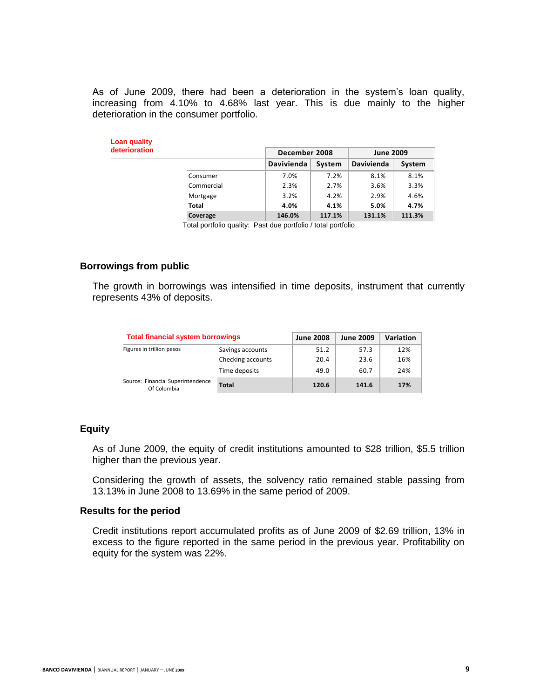As of June 2009, there had been a deterioration in the system's loan quality, increasing from 4.10% to 4.68% last year. This is due mainly to the higher deterioration in the consumer portfolio.

| Loan quality  |              |            |               |                   |                  |
|---------------|--------------|------------|---------------|-------------------|------------------|
| deterioration |              |            | December 2008 |                   | <b>June 2009</b> |
|               |              | Davivienda | System        | <b>Davivienda</b> | System           |
|               | Consumer     | 7.0%       | 7.2%          | 8.1%              | 8.1%             |
|               | Commercial   | 2.3%       | 2.7%          | 3.6%              | 3.3%             |
|               | Mortgage     | 3.2%       | 4.2%          | 2.9%              | 4.6%             |
|               | <b>Total</b> | 4.0%       | 4.1%          | 5.0%              | 4.7%             |
|               | Coverage     | 146.0%     | 117.1%        | 131.1%            | 111.3%           |

Total portfolio quality: Past due portfolio / total portfolio

#### **Borrowings from public**

The growth in borrowings was intensified in time deposits, instrument that currently represents 43% of deposits.

| <b>Total financial system borrowings</b>         |                   | <b>June 2008</b> | <b>June 2009</b> | Variation |
|--------------------------------------------------|-------------------|------------------|------------------|-----------|
| Figures in trillion pesos                        | Savings accounts  | 51.2             | 57.3             | 12%       |
|                                                  | Checking accounts | 20.4             | 23.6             | 16%       |
|                                                  | Time deposits     | 49.0             | 60.7             | 24%       |
| Source: Financial Superintendence<br>Of Colombia | <b>Total</b>      | 120.6            | 141.6            | 17%       |

#### **Equity**

As of June 2009, the equity of credit institutions amounted to \$28 trillion, \$5.5 trillion higher than the previous year.

Considering the growth of assets, the solvency ratio remained stable passing from 13.13% in June 2008 to 13.69% in the same period of 2009.

#### **Results for the period**

Credit institutions report accumulated profits as of June 2009 of \$2.69 trillion, 13% in excess to the figure reported in the same period in the previous year. Profitability on equity for the system was 22%.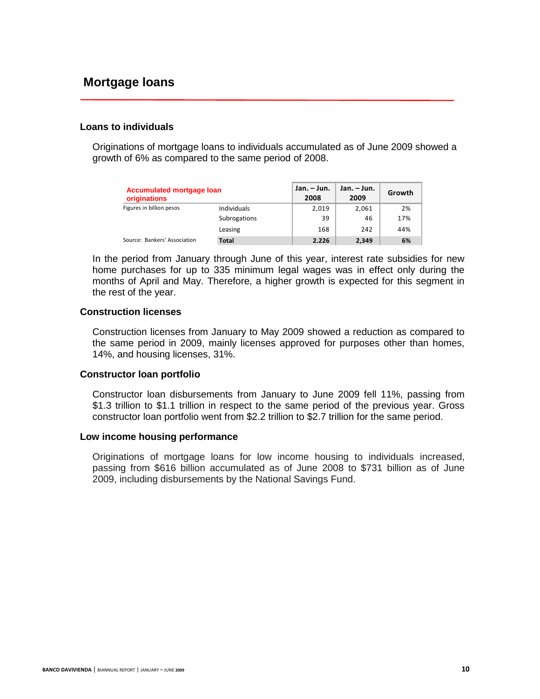# **Loans to individuals**

Originations of mortgage loans to individuals accumulated as of June 2009 showed a growth of 6% as compared to the same period of 2008.

| <b>Accumulated mortgage loan</b><br>originations |                     | Jan. – Jun.<br>2008 | Jan. – Jun.<br>2009 | Growth |
|--------------------------------------------------|---------------------|---------------------|---------------------|--------|
| Figures in billion pesos                         | <b>Individuals</b>  | 2,019               | 2,061               | 2%     |
|                                                  | <b>Subrogations</b> | 39                  | 46                  | 17%    |
|                                                  | Leasing             | 168                 | 242                 | 44%    |
| Source: Bankers' Association                     | <b>Total</b>        | 2.226               | 2,349               | 6%     |

In the period from January through June of this year, interest rate subsidies for new home purchases for up to 335 minimum legal wages was in effect only during the months of April and May. Therefore, a higher growth is expected for this segment in the rest of the year.

# **Construction licenses**

Construction licenses from January to May 2009 showed a reduction as compared to the same period in 2009, mainly licenses approved for purposes other than homes, 14%, and housing licenses, 31%.

# **Constructor loan portfolio**

Constructor loan disbursements from January to June 2009 fell 11%, passing from \$1.3 trillion to \$1.1 trillion in respect to the same period of the previous year. Gross constructor loan portfolio went from \$2.2 trillion to \$2.7 trillion for the same period.

# **Low income housing performance**

Originations of mortgage loans for low income housing to individuals increased, passing from \$616 billion accumulated as of June 2008 to \$731 billion as of June 2009, including disbursements by the National Savings Fund.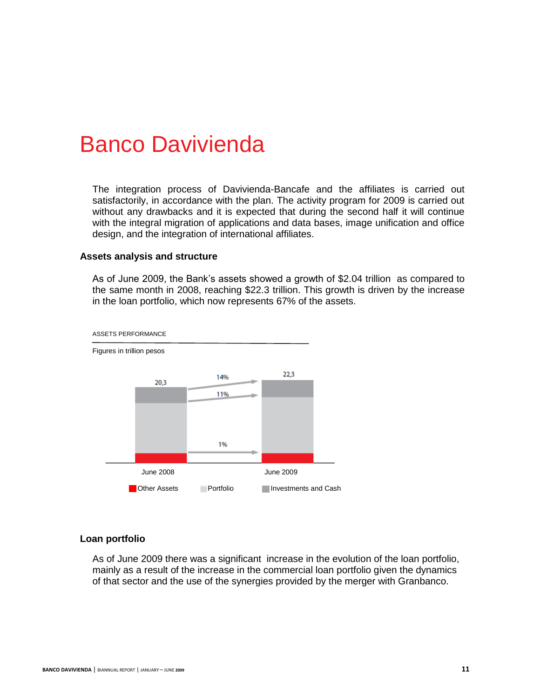# Banco Davivienda

The integration process of Davivienda-Bancafe and the affiliates is carried out satisfactorily, in accordance with the plan. The activity program for 2009 is carried out without any drawbacks and it is expected that during the second half it will continue with the integral migration of applications and data bases, image unification and office design, and the integration of international affiliates.

#### **Assets analysis and structure**

As of June 2009, the Bank's assets showed a growth of \$2.04 trillion as compared to the same month in 2008, reaching \$22.3 trillion. This growth is driven by the increase in the loan portfolio, which now represents 67% of the assets.



#### **Loan portfolio**

As of June 2009 there was a significant increase in the evolution of the loan portfolio, mainly as a result of the increase in the commercial loan portfolio given the dynamics of that sector and the use of the synergies provided by the merger with Granbanco.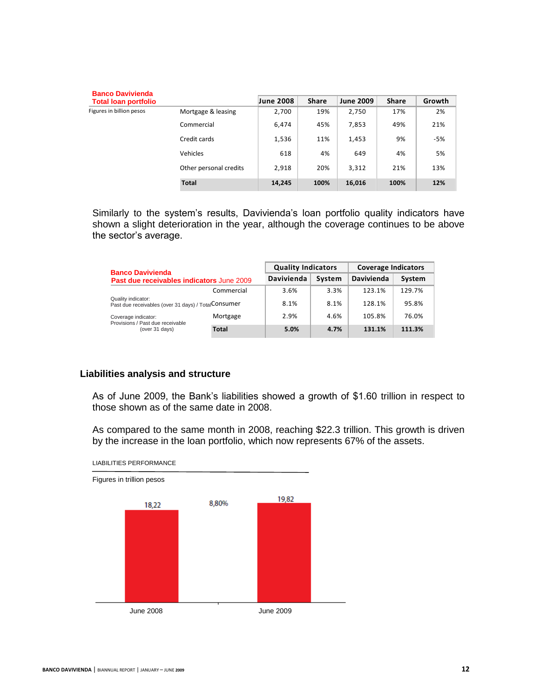| <b>Banco Davivienda</b>     |                        |                  |              |                  |              |        |
|-----------------------------|------------------------|------------------|--------------|------------------|--------------|--------|
| <b>Total loan portfolio</b> |                        | <b>June 2008</b> | <b>Share</b> | <b>June 2009</b> | <b>Share</b> | Growth |
| Figures in billion pesos    | Mortgage & leasing     | 2,700            | 19%          | 2,750            | 17%          | 2%     |
|                             | Commercial             | 6,474            | 45%          | 7,853            | 49%          | 21%    |
|                             | Credit cards           | 1,536            | 11%          | 1,453            | 9%           | $-5%$  |
|                             | Vehicles               | 618              | 4%           | 649              | 4%           | 5%     |
|                             | Other personal credits | 2,918            | 20%          | 3,312            | 21%          | 13%    |
|                             | <b>Total</b>           | 14,245           | 100%         | 16,016           | 100%         | 12%    |

Similarly to the system's results, Davivienda's loan portfolio quality indicators have shown a slight deterioration in the year, although the coverage continues to be above the sector's average.

| <b>Banco Davivienda</b>                                                    |            | <b>Quality Indicators</b> |        | <b>Coverage Indicators</b> |        |
|----------------------------------------------------------------------------|------------|---------------------------|--------|----------------------------|--------|
| Past due receivables indicators June 2009                                  |            | Davivienda                | System | <b>Davivienda</b>          | System |
|                                                                            | Commercial | 3.6%                      | 3.3%   | 123.1%                     | 129.7% |
| Quality indicator:<br>Past due receivables (over 31 days) / Total Consumer |            | 8.1%                      | 8.1%   | 128.1%                     | 95.8%  |
| Coverage indicator:<br>Provisions / Past due receivable                    | Mortgage   | 2.9%                      | 4.6%   | 105.8%                     | 76.0%  |
| (over 31 days)                                                             | Total      | 5.0%                      | 4.7%   | 131.1%                     | 111.3% |

# **Liabilities analysis and structure**

As of June 2009, the Bank's liabilities showed a growth of \$1.60 trillion in respect to those shown as of the same date in 2008.

As compared to the same month in 2008, reaching \$22.3 trillion. This growth is driven by the increase in the loan portfolio, which now represents 67% of the assets.

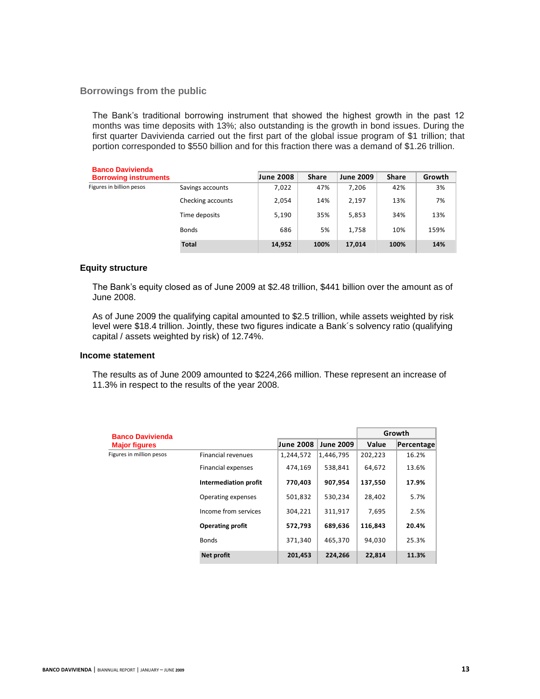#### **Borrowings from the public**

The Bank's traditional borrowing instrument that showed the highest growth in the past 12 months was time deposits with 13%; also outstanding is the growth in bond issues. During the first quarter Davivienda carried out the first part of the global issue program of \$1 trillion; that portion corresponded to \$550 billion and for this fraction there was a demand of \$1.26 trillion.

| <b>Banco Davivienda</b>      |                   |                  |              |                  |              |        |
|------------------------------|-------------------|------------------|--------------|------------------|--------------|--------|
| <b>Borrowing instruments</b> |                   | <b>June 2008</b> | <b>Share</b> | <b>June 2009</b> | <b>Share</b> | Growth |
| Figures in billion pesos     | Savings accounts  | 7,022            | 47%          | 7,206            | 42%          | 3%     |
|                              | Checking accounts | 2,054            | 14%          | 2,197            | 13%          | 7%     |
|                              | Time deposits     | 5,190            | 35%          | 5,853            | 34%          | 13%    |
|                              | <b>Bonds</b>      | 686              | 5%           | 1,758            | 10%          | 159%   |
|                              | <b>Total</b>      | 14,952           | 100%         | 17,014           | 100%         | 14%    |

#### **Equity structure**

The Bank's equity closed as of June 2009 at \$2.48 trillion, \$441 billion over the amount as of June 2008.

As of June 2009 the qualifying capital amounted to \$2.5 trillion, while assets weighted by risk level were \$18.4 trillion. Jointly, these two figures indicate a Bank´s solvency ratio (qualifying capital / assets weighted by risk) of 12.74%.

#### **Income statement**

The results as of June 2009 amounted to \$224,266 million. These represent an increase of 11.3% in respect to the results of the year 2008.

| <b>Banco Davivienda</b>  |                           |                  |                  |         | Growth     |  |
|--------------------------|---------------------------|------------------|------------------|---------|------------|--|
| <b>Major figures</b>     |                           | <b>June 2008</b> | <b>June 2009</b> | Value   | Percentage |  |
| Figures in million pesos | <b>Financial revenues</b> | 1,244,572        | 1,446,795        | 202,223 | 16.2%      |  |
|                          | Financial expenses        | 474.169          | 538,841          | 64.672  | 13.6%      |  |
|                          | Intermediation profit     | 770.403          | 907,954          | 137,550 | 17.9%      |  |
|                          | Operating expenses        | 501,832          | 530,234          | 28,402  | 5.7%       |  |
|                          | Income from services      | 304.221          | 311,917          | 7.695   | 2.5%       |  |
|                          | <b>Operating profit</b>   | 572.793          | 689,636          | 116,843 | 20.4%      |  |
|                          | <b>Bonds</b>              | 371.340          | 465,370          | 94.030  | 25.3%      |  |
|                          | <b>Net profit</b>         | 201.453          | 224.266          | 22,814  | 11.3%      |  |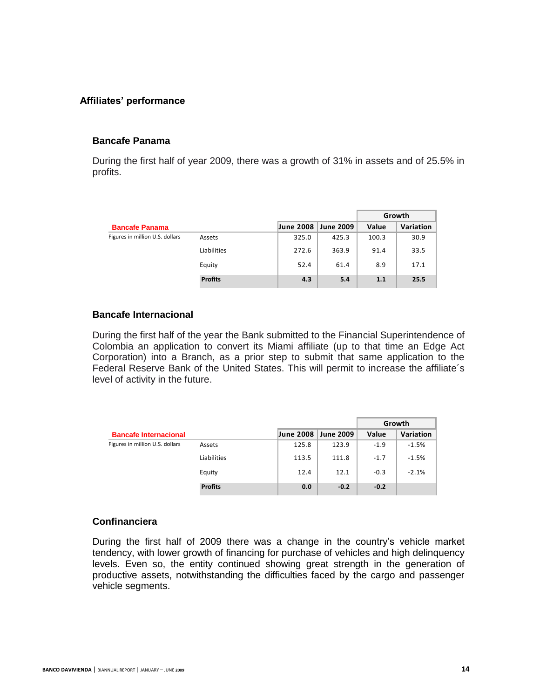# **Affiliates' performance**

# **Bancafe Panama**

During the first half of year 2009, there was a growth of 31% in assets and of 25.5% in profits.

|                                 |                |                  |                  |       | Growth    |
|---------------------------------|----------------|------------------|------------------|-------|-----------|
| <b>Bancafe Panama</b>           |                | <b>June 2008</b> | <b>June 2009</b> | Value | Variation |
| Figures in million U.S. dollars | Assets         | 325.0            | 425.3            | 100.3 | 30.9      |
|                                 | Liabilities    | 272.6            | 363.9            | 91.4  | 33.5      |
|                                 | Equity         | 52.4             | 61.4             | 8.9   | 17.1      |
|                                 | <b>Profits</b> | 4.3              | 5.4              | 1.1   | 25.5      |

# **Bancafe Internacional**

During the first half of the year the Bank submitted to the Financial Superintendence of Colombia an application to convert its Miami affiliate (up to that time an Edge Act Corporation) into a Branch, as a prior step to submit that same application to the Federal Reserve Bank of the United States. This will permit to increase the affiliate´s level of activity in the future.

|                                 |                | Growth           |                  |        |           |
|---------------------------------|----------------|------------------|------------------|--------|-----------|
| <b>Bancafe Internacional</b>    |                | <b>June 2008</b> | <b>June 2009</b> | Value  | Variation |
| Figures in million U.S. dollars | Assets         | 125.8            | 123.9            | $-1.9$ | $-1.5%$   |
|                                 | Liabilities    | 113.5            | 111.8            | $-1.7$ | $-1.5%$   |
|                                 | Equity         | 12.4             | 12.1             | $-0.3$ | $-2.1%$   |
|                                 | <b>Profits</b> | 0.0              | $-0.2$           | $-0.2$ |           |

# **Confinanciera**

During the first half of 2009 there was a change in the country's vehicle market tendency, with lower growth of financing for purchase of vehicles and high delinquency levels. Even so, the entity continued showing great strength in the generation of productive assets, notwithstanding the difficulties faced by the cargo and passenger vehicle segments.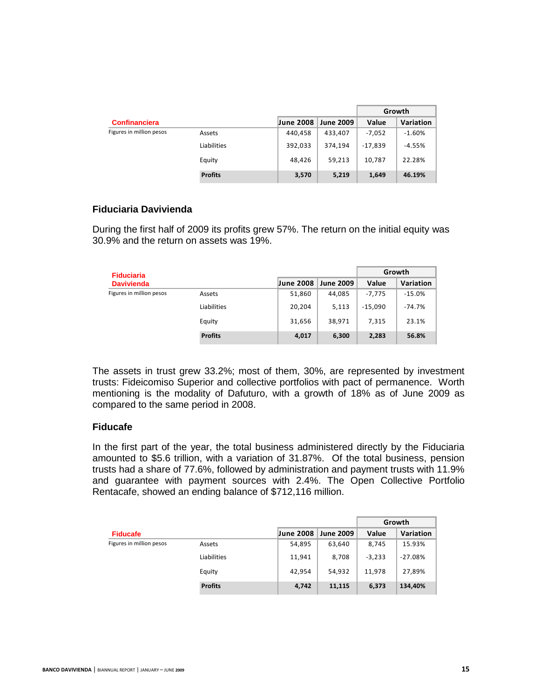|                          |                |                  |                  |           | Growth    |
|--------------------------|----------------|------------------|------------------|-----------|-----------|
| <b>Confinanciera</b>     |                | <b>June 2008</b> | <b>June 2009</b> | Value     | Variation |
| Figures in million pesos | Assets         | 440.458          | 433,407          | $-7.052$  | $-1.60%$  |
|                          | Liabilities    | 392,033          | 374.194          | $-17,839$ | $-4.55%$  |
|                          | Equity         | 48,426           | 59,213           | 10,787    | 22.28%    |
|                          | <b>Profits</b> | 3,570            | 5,219            | 1,649     | 46.19%    |

# **Fiduciaria Davivienda**

During the first half of 2009 its profits grew 57%. The return on the initial equity was 30.9% and the return on assets was 19%.

| <b>Fiduciaria</b><br><b>Davivienda</b> |                |                  |                  | Growth    |           |
|----------------------------------------|----------------|------------------|------------------|-----------|-----------|
|                                        |                | <b>June 2008</b> | <b>June 2009</b> | Value     | Variation |
| Figures in million pesos               | Assets         | 51,860           | 44,085           | $-7,775$  | $-15.0%$  |
|                                        | Liabilities    | 20,204           | 5,113            | $-15,090$ | $-74.7%$  |
|                                        | Equity         | 31,656           | 38,971           | 7,315     | 23.1%     |
|                                        | <b>Profits</b> | 4,017            | 6,300            | 2,283     | 56.8%     |

The assets in trust grew 33.2%; most of them, 30%, are represented by investment trusts: Fideicomiso Superior and collective portfolios with pact of permanence. Worth mentioning is the modality of Dafuturo, with a growth of 18% as of June 2009 as compared to the same period in 2008.

# **Fiducafe**

In the first part of the year, the total business administered directly by the Fiduciaria amounted to \$5.6 trillion, with a variation of 31.87%. Of the total business, pension trusts had a share of 77.6%, followed by administration and payment trusts with 11.9% and guarantee with payment sources with 2.4%. The Open Collective Portfolio Rentacafe, showed an ending balance of \$712,116 million.

|                          |                |                  |                  |          | Growth           |
|--------------------------|----------------|------------------|------------------|----------|------------------|
| <b>Fiducafe</b>          |                | <b>June 2008</b> | <b>June 2009</b> | Value    | <b>Variation</b> |
| Figures in million pesos | Assets         | 54,895           | 63.640           | 8.745    | 15.93%           |
|                          | Liabilities    | 11,941           | 8,708            | $-3,233$ | $-27.08%$        |
|                          | Equity         | 42,954           | 54.932           | 11,978   | 27,89%           |
|                          | <b>Profits</b> | 4,742            | 11,115           | 6,373    | 134,40%          |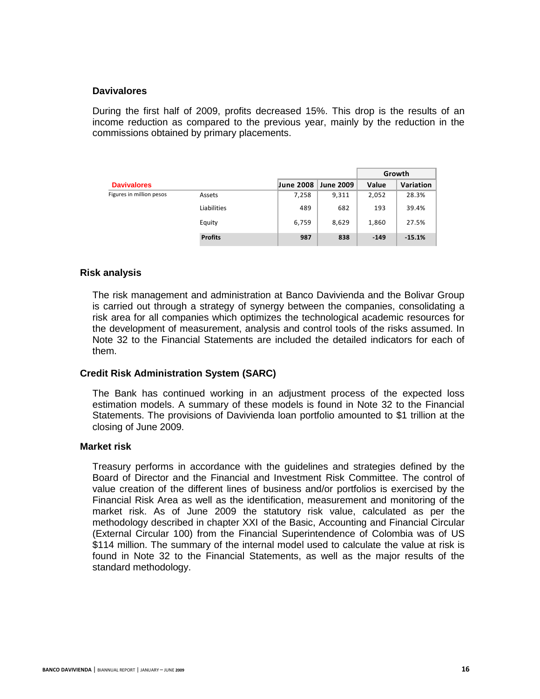#### **Davivalores**

During the first half of 2009, profits decreased 15%. This drop is the results of an income reduction as compared to the previous year, mainly by the reduction in the commissions obtained by primary placements.

|                          |                |                  |                  |        | Growth    |
|--------------------------|----------------|------------------|------------------|--------|-----------|
| <b>Davivalores</b>       |                | <b>June 2008</b> | <b>June 2009</b> | Value  | Variation |
| Figures in million pesos | Assets         | 7,258            | 9,311            | 2,052  | 28.3%     |
|                          | Liabilities    | 489              | 682              | 193    | 39.4%     |
|                          | Equity         | 6,759            | 8,629            | 1,860  | 27.5%     |
|                          | <b>Profits</b> | 987              | 838              | $-149$ | $-15.1%$  |

#### **Risk analysis**

The risk management and administration at Banco Davivienda and the Bolivar Group is carried out through a strategy of synergy between the companies, consolidating a risk area for all companies which optimizes the technological academic resources for the development of measurement, analysis and control tools of the risks assumed. In Note 32 to the Financial Statements are included the detailed indicators for each of them.

#### **Credit Risk Administration System (SARC)**

The Bank has continued working in an adjustment process of the expected loss estimation models. A summary of these models is found in Note 32 to the Financial Statements. The provisions of Davivienda loan portfolio amounted to \$1 trillion at the closing of June 2009.

#### **Market risk**

Treasury performs in accordance with the guidelines and strategies defined by the Board of Director and the Financial and Investment Risk Committee. The control of value creation of the different lines of business and/or portfolios is exercised by the Financial Risk Area as well as the identification, measurement and monitoring of the market risk. As of June 2009 the statutory risk value, calculated as per the methodology described in chapter XXI of the Basic, Accounting and Financial Circular (External Circular 100) from the Financial Superintendence of Colombia was of US \$114 million. The summary of the internal model used to calculate the value at risk is found in Note 32 to the Financial Statements, as well as the major results of the standard methodology.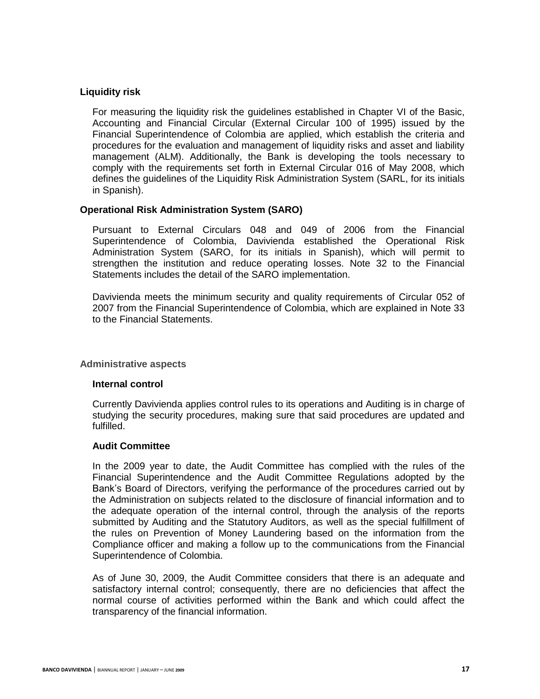# **Liquidity risk**

For measuring the liquidity risk the guidelines established in Chapter VI of the Basic, Accounting and Financial Circular (External Circular 100 of 1995) issued by the Financial Superintendence of Colombia are applied, which establish the criteria and procedures for the evaluation and management of liquidity risks and asset and liability management (ALM). Additionally, the Bank is developing the tools necessary to comply with the requirements set forth in External Circular 016 of May 2008, which defines the guidelines of the Liquidity Risk Administration System (SARL, for its initials in Spanish).

# **Operational Risk Administration System (SARO)**

Pursuant to External Circulars 048 and 049 of 2006 from the Financial Superintendence of Colombia, Davivienda established the Operational Risk Administration System (SARO, for its initials in Spanish), which will permit to strengthen the institution and reduce operating losses. Note 32 to the Financial Statements includes the detail of the SARO implementation.

Davivienda meets the minimum security and quality requirements of Circular 052 of 2007 from the Financial Superintendence of Colombia, which are explained in Note 33 to the Financial Statements.

# **Administrative aspects**

#### **Internal control**

Currently Davivienda applies control rules to its operations and Auditing is in charge of studying the security procedures, making sure that said procedures are updated and fulfilled.

#### **Audit Committee**

In the 2009 year to date, the Audit Committee has complied with the rules of the Financial Superintendence and the Audit Committee Regulations adopted by the Bank's Board of Directors, verifying the performance of the procedures carried out by the Administration on subjects related to the disclosure of financial information and to the adequate operation of the internal control, through the analysis of the reports submitted by Auditing and the Statutory Auditors, as well as the special fulfillment of the rules on Prevention of Money Laundering based on the information from the Compliance officer and making a follow up to the communications from the Financial Superintendence of Colombia.

As of June 30, 2009, the Audit Committee considers that there is an adequate and satisfactory internal control; consequently, there are no deficiencies that affect the normal course of activities performed within the Bank and which could affect the transparency of the financial information.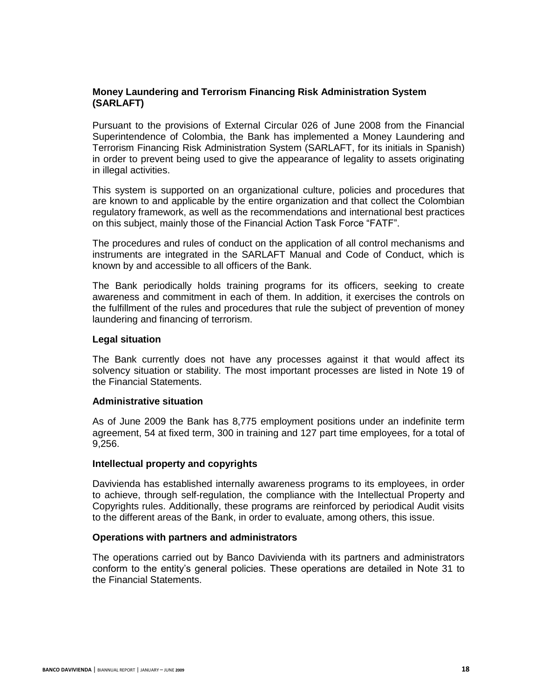# **Money Laundering and Terrorism Financing Risk Administration System (SARLAFT)**

Pursuant to the provisions of External Circular 026 of June 2008 from the Financial Superintendence of Colombia, the Bank has implemented a Money Laundering and Terrorism Financing Risk Administration System (SARLAFT, for its initials in Spanish) in order to prevent being used to give the appearance of legality to assets originating in illegal activities.

This system is supported on an organizational culture, policies and procedures that are known to and applicable by the entire organization and that collect the Colombian regulatory framework, as well as the recommendations and international best practices on this subject, mainly those of the Financial Action Task Force "FATF".

The procedures and rules of conduct on the application of all control mechanisms and instruments are integrated in the SARLAFT Manual and Code of Conduct, which is known by and accessible to all officers of the Bank.

The Bank periodically holds training programs for its officers, seeking to create awareness and commitment in each of them. In addition, it exercises the controls on the fulfillment of the rules and procedures that rule the subject of prevention of money laundering and financing of terrorism.

#### **Legal situation**

The Bank currently does not have any processes against it that would affect its solvency situation or stability. The most important processes are listed in Note 19 of the Financial Statements.

# **Administrative situation**

As of June 2009 the Bank has 8,775 employment positions under an indefinite term agreement, 54 at fixed term, 300 in training and 127 part time employees, for a total of 9,256.

# **Intellectual property and copyrights**

Davivienda has established internally awareness programs to its employees, in order to achieve, through self-regulation, the compliance with the Intellectual Property and Copyrights rules. Additionally, these programs are reinforced by periodical Audit visits to the different areas of the Bank, in order to evaluate, among others, this issue.

# **Operations with partners and administrators**

The operations carried out by Banco Davivienda with its partners and administrators conform to the entity's general policies. These operations are detailed in Note 31 to the Financial Statements.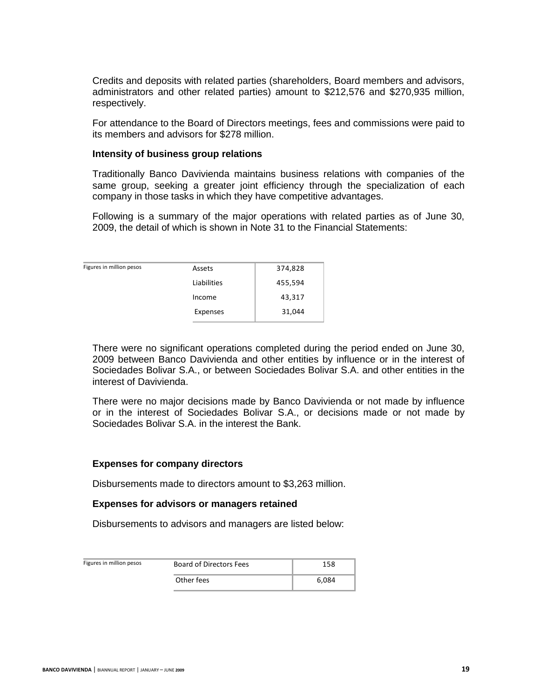Credits and deposits with related parties (shareholders, Board members and advisors, administrators and other related parties) amount to \$212,576 and \$270,935 million, respectively.

For attendance to the Board of Directors meetings, fees and commissions were paid to its members and advisors for \$278 million.

#### **Intensity of business group relations**

Traditionally Banco Davivienda maintains business relations with companies of the same group, seeking a greater joint efficiency through the specialization of each company in those tasks in which they have competitive advantages.

Following is a summary of the major operations with related parties as of June 30, 2009, the detail of which is shown in Note 31 to the Financial Statements:

| Figures in million pesos | Assets      | 374,828 |
|--------------------------|-------------|---------|
|                          | Liabilities | 455,594 |
|                          | Income      | 43,317  |
|                          | Expenses    | 31,044  |

There were no significant operations completed during the period ended on June 30, 2009 between Banco Davivienda and other entities by influence or in the interest of Sociedades Bolivar S.A., or between Sociedades Bolivar S.A. and other entities in the interest of Davivienda.

There were no major decisions made by Banco Davivienda or not made by influence or in the interest of Sociedades Bolivar S.A., or decisions made or not made by Sociedades Bolivar S.A. in the interest the Bank.

#### **Expenses for company directors**

Disbursements made to directors amount to \$3,263 million.

#### **Expenses for advisors or managers retained**

Disbursements to advisors and managers are listed below:

| Figures in million pesos | Board of Directors Fees | 158   |
|--------------------------|-------------------------|-------|
|                          | Other fees              | 6.084 |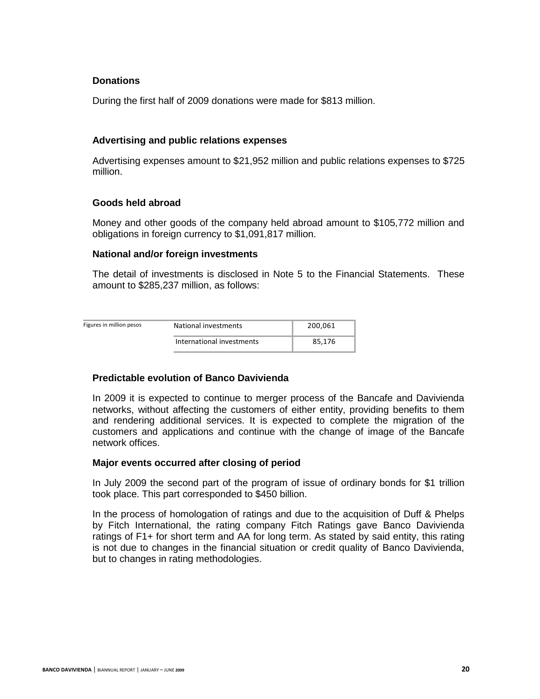# **Donations**

During the first half of 2009 donations were made for \$813 million.

# **Advertising and public relations expenses**

Advertising expenses amount to \$21,952 million and public relations expenses to \$725 million.

# **Goods held abroad**

Money and other goods of the company held abroad amount to \$105,772 million and obligations in foreign currency to \$1,091,817 million.

# **National and/or foreign investments**

The detail of investments is disclosed in Note 5 to the Financial Statements. These amount to \$285,237 million, as follows:

| Figures in million pesos | National investments      | 200,061 |
|--------------------------|---------------------------|---------|
|                          | International investments | 85.176  |

# **Predictable evolution of Banco Davivienda**

In 2009 it is expected to continue to merger process of the Bancafe and Davivienda networks, without affecting the customers of either entity, providing benefits to them and rendering additional services. It is expected to complete the migration of the customers and applications and continue with the change of image of the Bancafe network offices.

# **Major events occurred after closing of period**

In July 2009 the second part of the program of issue of ordinary bonds for \$1 trillion took place. This part corresponded to \$450 billion.

In the process of homologation of ratings and due to the acquisition of Duff & Phelps by Fitch International, the rating company Fitch Ratings gave Banco Davivienda ratings of F1+ for short term and AA for long term. As stated by said entity, this rating is not due to changes in the financial situation or credit quality of Banco Davivienda, but to changes in rating methodologies.